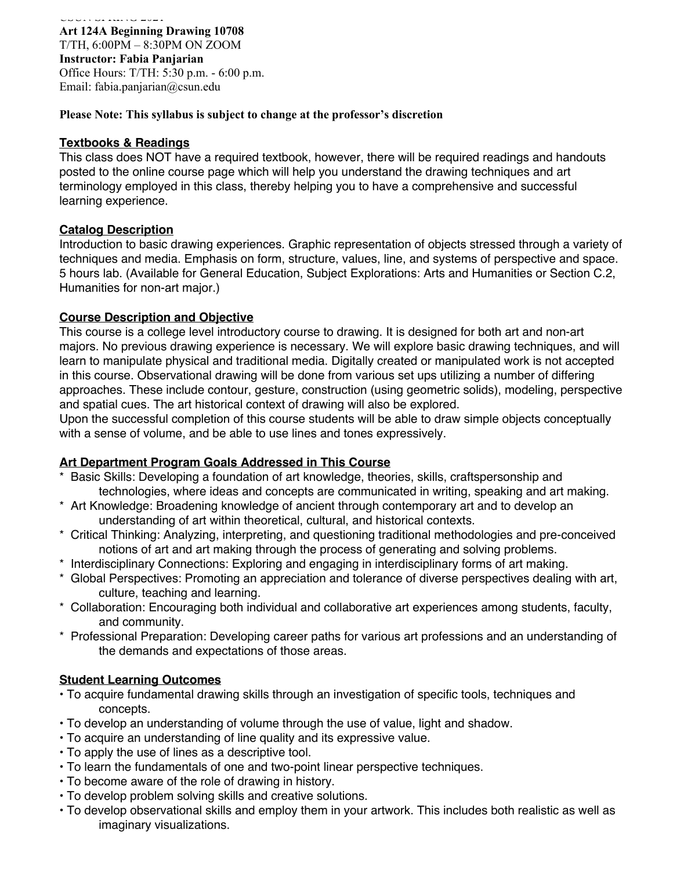COURT OF FEBRUARY **Art 124A Beginning Drawing 10708** T/TH, 6:00PM – 8:30PM ON ZOOM **Instructor: Fabia Panjarian** Office Hours: T/TH: 5:30 p.m. - 6:00 p.m. Email: fabia.panjarian@csun.edu

#### **Please Note: This syllabus is subject to change at the professor's discretion**

#### **Textbooks & Readings**

This class does NOT have a required textbook, however, there will be required readings and handouts posted to the online course page which will help you understand the drawing techniques and art terminology employed in this class, thereby helping you to have a comprehensive and successful learning experience.

### **Catalog Description**

Introduction to basic drawing experiences. Graphic representation of objects stressed through a variety of techniques and media. Emphasis on form, structure, values, line, and systems of perspective and space. 5 hours lab. (Available for General Education, Subject Explorations: Arts and Humanities or Section C.2, Humanities for non-art major.)

### **Course Description and Objective**

This course is a college level introductory course to drawing. It is designed for both art and non-art majors. No previous drawing experience is necessary. We will explore basic drawing techniques, and will learn to manipulate physical and traditional media. Digitally created or manipulated work is not accepted in this course. Observational drawing will be done from various set ups utilizing a number of differing approaches. These include contour, gesture, construction (using geometric solids), modeling, perspective and spatial cues. The art historical context of drawing will also be explored.

Upon the successful completion of this course students will be able to draw simple objects conceptually with a sense of volume, and be able to use lines and tones expressively.

### **Art Department Program Goals Addressed in This Course**

- \* Basic Skills: Developing a foundation of art knowledge, theories, skills, craftspersonship and technologies, where ideas and concepts are communicated in writing, speaking and art making.
- \* Art Knowledge: Broadening knowledge of ancient through contemporary art and to develop an understanding of art within theoretical, cultural, and historical contexts.
- \* Critical Thinking: Analyzing, interpreting, and questioning traditional methodologies and pre-conceived notions of art and art making through the process of generating and solving problems.
- \* Interdisciplinary Connections: Exploring and engaging in interdisciplinary forms of art making.
- \* Global Perspectives: Promoting an appreciation and tolerance of diverse perspectives dealing with art, culture, teaching and learning.
- \* Collaboration: Encouraging both individual and collaborative art experiences among students, faculty, and community.
- \* Professional Preparation: Developing career paths for various art professions and an understanding of the demands and expectations of those areas.

# **Student Learning Outcomes**

- To acquire fundamental drawing skills through an investigation of specific tools, techniques and concepts.
- To develop an understanding of volume through the use of value, light and shadow.
- To acquire an understanding of line quality and its expressive value.
- To apply the use of lines as a descriptive tool.
- To learn the fundamentals of one and two-point linear perspective techniques.
- To become aware of the role of drawing in history.
- To develop problem solving skills and creative solutions.
- To develop observational skills and employ them in your artwork. This includes both realistic as well as imaginary visualizations.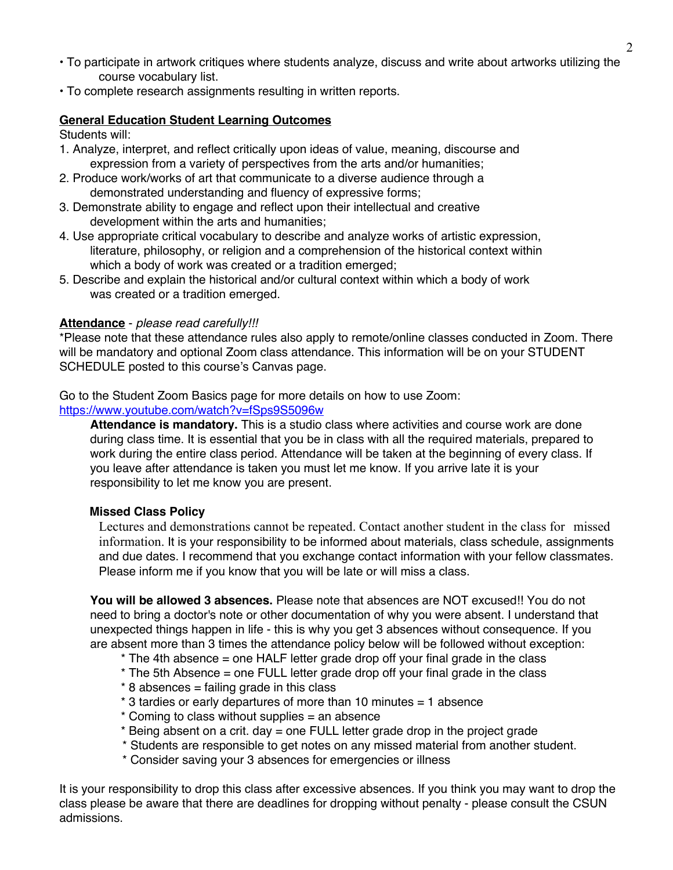- To participate in artwork critiques where students analyze, discuss and write about artworks utilizing the course vocabulary list.
- To complete research assignments resulting in written reports.

## **General Education Student Learning Outcomes**

Students will:

- 1. Analyze, interpret, and reflect critically upon ideas of value, meaning, discourse and expression from a variety of perspectives from the arts and/or humanities;
- 2. Produce work/works of art that communicate to a diverse audience through a demonstrated understanding and fluency of expressive forms;
- 3. Demonstrate ability to engage and reflect upon their intellectual and creative development within the arts and humanities;
- 4. Use appropriate critical vocabulary to describe and analyze works of artistic expression, literature, philosophy, or religion and a comprehension of the historical context within which a body of work was created or a tradition emerged;
- 5. Describe and explain the historical and/or cultural context within which a body of work was created or a tradition emerged.

## **Attendance** - *please read carefully!!!*

\*Please note that these attendance rules also apply to remote/online classes conducted in Zoom. There will be mandatory and optional Zoom class attendance. This information will be on your STUDENT SCHEDULE posted to this course's Canvas page.

Go to the Student Zoom Basics page for more details on how to use Zoom:

https://www.youtube.com/watch?v=fSps9S5096w

**Attendance is mandatory.** This is a studio class where activities and course work are done during class time. It is essential that you be in class with all the required materials, prepared to work during the entire class period. Attendance will be taken at the beginning of every class. If you leave after attendance is taken you must let me know. If you arrive late it is your responsibility to let me know you are present.

### **Missed Class Policy**

Lectures and demonstrations cannot be repeated. Contact another student in the class for missed information. It is your responsibility to be informed about materials, class schedule, assignments and due dates. I recommend that you exchange contact information with your fellow classmates. Please inform me if you know that you will be late or will miss a class.

**You will be allowed 3 absences.** Please note that absences are NOT excused!! You do not need to bring a doctor's note or other documentation of why you were absent. I understand that unexpected things happen in life - this is why you get 3 absences without consequence. If you are absent more than 3 times the attendance policy below will be followed without exception:

 $*$  The 4th absence = one HALF letter grade drop off your final grade in the class

- \* The 5th Absence = one FULL letter grade drop off your final grade in the class
- $*$  8 absences = failing grade in this class
- \* 3 tardies or early departures of more than 10 minutes = 1 absence
- \* Coming to class without supplies = an absence
- \* Being absent on a crit. day = one FULL letter grade drop in the project grade
- \* Students are responsible to get notes on any missed material from another student.
- \* Consider saving your 3 absences for emergencies or illness

It is your responsibility to drop this class after excessive absences. If you think you may want to drop the class please be aware that there are deadlines for dropping without penalty - please consult the CSUN admissions.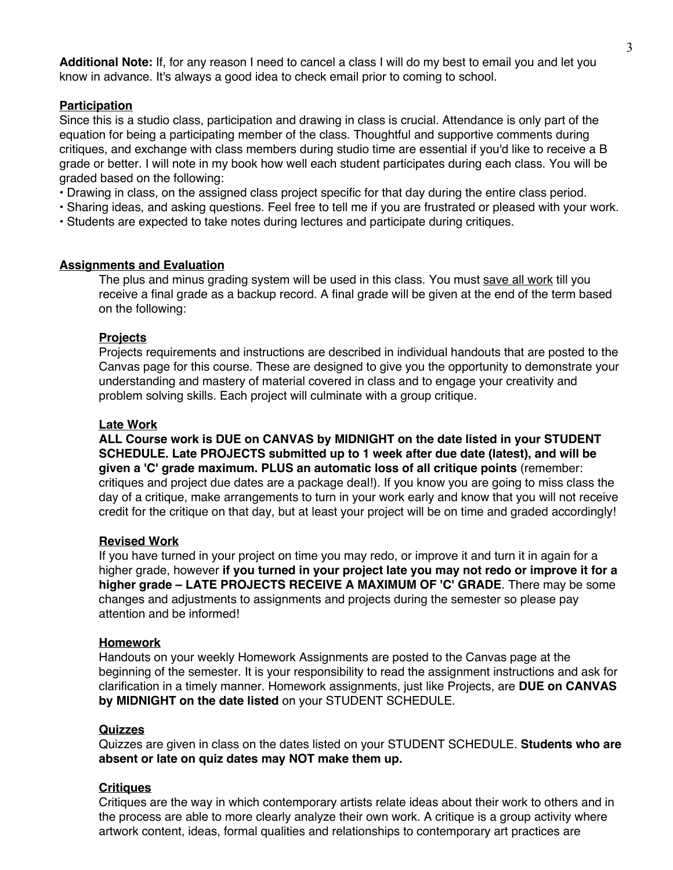**Additional Note:** If, for any reason I need to cancel a class I will do my best to email you and let you know in advance. It's always a good idea to check email prior to coming to school.

#### **Participation**

Since this is a studio class, participation and drawing in class is crucial. Attendance is only part of the equation for being a participating member of the class. Thoughtful and supportive comments during critiques, and exchange with class members during studio time are essential if you'd like to receive a B grade or better. I will note in my book how well each student participates during each class. You will be graded based on the following:

- Drawing in class, on the assigned class project specific for that day during the entire class period.
- Sharing ideas, and asking questions. Feel free to tell me if you are frustrated or pleased with your work.
- Students are expected to take notes during lectures and participate during critiques.

#### **Assignments and Evaluation**

The plus and minus grading system will be used in this class. You must save all work till you receive a final grade as a backup record. A final grade will be given at the end of the term based on the following:

#### **Projects**

Projects requirements and instructions are described in individual handouts that are posted to the Canvas page for this course. These are designed to give you the opportunity to demonstrate your understanding and mastery of material covered in class and to engage your creativity and problem solving skills. Each project will culminate with a group critique.

#### **Late Work**

**ALL Course work is DUE on CANVAS by MIDNIGHT on the date listed in your STUDENT SCHEDULE. Late PROJECTS submitted up to 1 week after due date (latest), and will be given a 'C' grade maximum. PLUS an automatic loss of all critique points** (remember: critiques and project due dates are a package deal!). If you know you are going to miss class the day of a critique, make arrangements to turn in your work early and know that you will not receive credit for the critique on that day, but at least your project will be on time and graded accordingly!

#### **Revised Work**

If you have turned in your project on time you may redo, or improve it and turn it in again for a higher grade, however **if you turned in your project late you may not redo or improve it for a higher grade – LATE PROJECTS RECEIVE A MAXIMUM OF 'C' GRADE**. There may be some changes and adjustments to assignments and projects during the semester so please pay attention and be informed!

#### **Homework**

Handouts on your weekly Homework Assignments are posted to the Canvas page at the beginning of the semester. It is your responsibility to read the assignment instructions and ask for clarification in a timely manner. Homework assignments, just like Projects, are **DUE on CANVAS by MIDNIGHT on the date listed** on your STUDENT SCHEDULE.

#### **Quizzes**

Quizzes are given in class on the dates listed on your STUDENT SCHEDULE. **Students who are absent or late on quiz dates may NOT make them up.** 

#### **Critiques**

Critiques are the way in which contemporary artists relate ideas about their work to others and in the process are able to more clearly analyze their own work. A critique is a group activity where artwork content, ideas, formal qualities and relationships to contemporary art practices are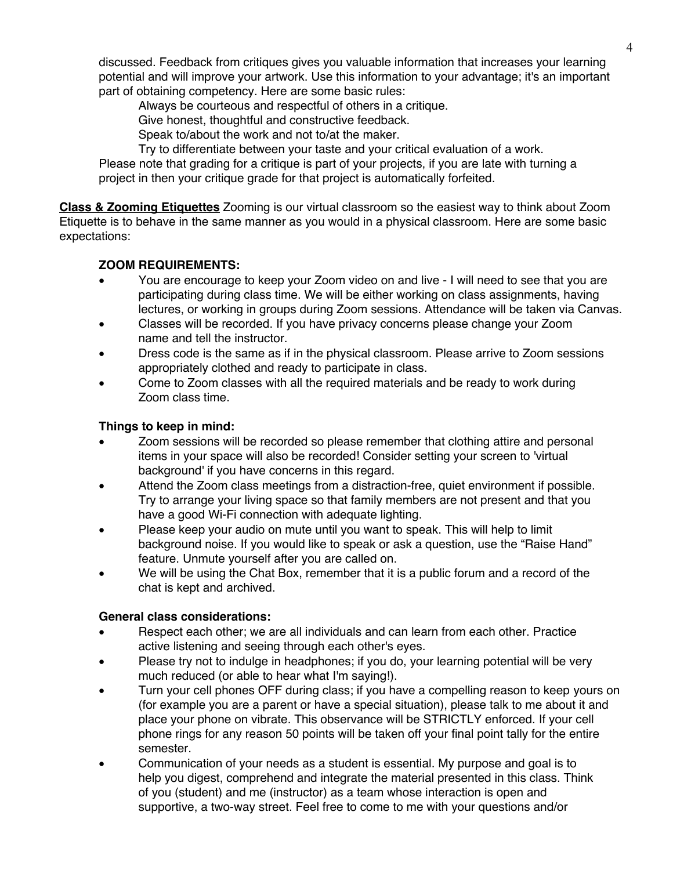discussed. Feedback from critiques gives you valuable information that increases your learning potential and will improve your artwork. Use this information to your advantage; it's an important part of obtaining competency. Here are some basic rules:

Always be courteous and respectful of others in a critique.

Give honest, thoughtful and constructive feedback.

Speak to/about the work and not to/at the maker.

Try to differentiate between your taste and your critical evaluation of a work.

Please note that grading for a critique is part of your projects, if you are late with turning a project in then your critique grade for that project is automatically forfeited.

**Class & Zooming Etiquettes** Zooming is our virtual classroom so the easiest way to think about Zoom Etiquette is to behave in the same manner as you would in a physical classroom. Here are some basic expectations:

# **ZOOM REQUIREMENTS:**

- You are encourage to keep your Zoom video on and live I will need to see that you are participating during class time. We will be either working on class assignments, having lectures, or working in groups during Zoom sessions. Attendance will be taken via Canvas.
- Classes will be recorded. If you have privacy concerns please change your Zoom name and tell the instructor.
- Dress code is the same as if in the physical classroom. Please arrive to Zoom sessions appropriately clothed and ready to participate in class.
- Come to Zoom classes with all the required materials and be ready to work during Zoom class time.

# **Things to keep in mind:**

- Zoom sessions will be recorded so please remember that clothing attire and personal items in your space will also be recorded! Consider setting your screen to 'virtual background' if you have concerns in this regard.
- Attend the Zoom class meetings from a distraction-free, quiet environment if possible. Try to arrange your living space so that family members are not present and that you have a good Wi-Fi connection with adequate lighting.
- Please keep your audio on mute until you want to speak. This will help to limit background noise. If you would like to speak or ask a question, use the "Raise Hand" feature. Unmute yourself after you are called on.
- We will be using the Chat Box, remember that it is a public forum and a record of the chat is kept and archived.

# **General class considerations:**

- Respect each other; we are all individuals and can learn from each other. Practice active listening and seeing through each other's eyes.
- Please try not to indulge in headphones; if you do, your learning potential will be very much reduced (or able to hear what I'm saying!).
- Turn your cell phones OFF during class; if you have a compelling reason to keep yours on (for example you are a parent or have a special situation), please talk to me about it and place your phone on vibrate. This observance will be STRICTLY enforced. If your cell phone rings for any reason 50 points will be taken off your final point tally for the entire semester.
- Communication of your needs as a student is essential. My purpose and goal is to help you digest, comprehend and integrate the material presented in this class. Think of you (student) and me (instructor) as a team whose interaction is open and supportive, a two-way street. Feel free to come to me with your questions and/or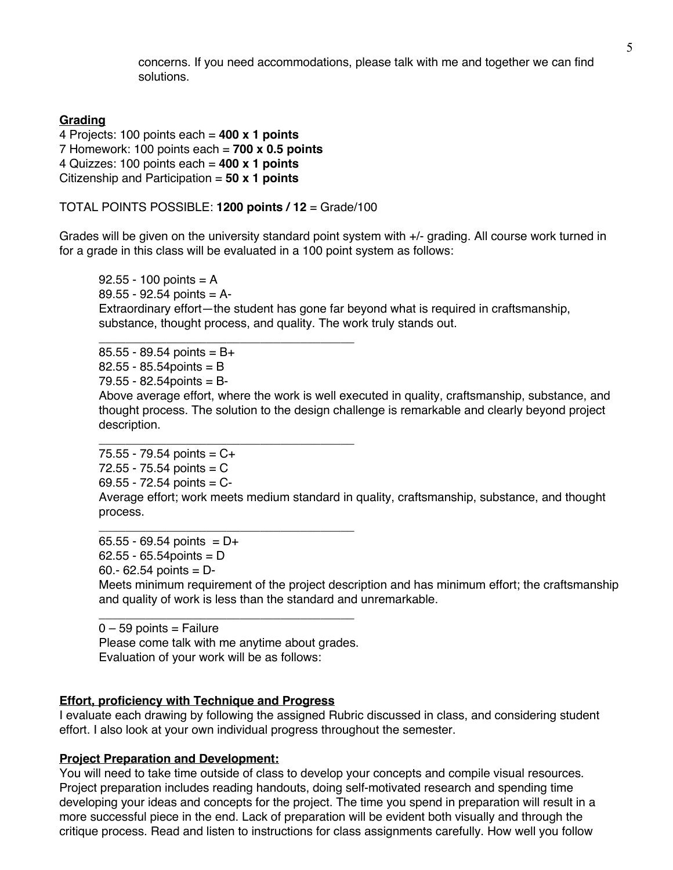concerns. If you need accommodations, please talk with me and together we can find solutions.

## **Grading**

```
4 Projects: 100 points each = 400 x 1 points
7 Homework: 100 points each = 700 x 0.5 points
4 Quizzes: 100 points each = 400 x 1 points
Citizenship and Participation = 50 x 1 points
```
TOTAL POINTS POSSIBLE: **1200 points / 12** = Grade/100

Grades will be given on the university standard point system with +/- grading. All course work turned in for a grade in this class will be evaluated in a 100 point system as follows:

 $92.55 - 100$  points = A  $89.55 - 92.54$  points = A-Extraordinary effort—the student has gone far beyond what is required in craftsmanship, substance, thought process, and quality. The work truly stands out.

\_\_\_\_\_\_\_\_\_\_\_\_\_\_\_\_\_\_\_\_\_\_\_\_\_\_\_\_\_\_\_\_\_\_\_\_\_\_  $85.55 - 89.54$  points = B+  $82.55 - 85.54$  points = B  $79.55 - 82.54$  points = B-Above average effort, where the work is well executed in quality, craftsmanship, substance, and thought process. The solution to the design challenge is remarkable and clearly beyond project description. \_\_\_\_\_\_\_\_\_\_\_\_\_\_\_\_\_\_\_\_\_\_\_\_\_\_\_\_\_\_\_\_\_\_\_\_\_\_

 $75.55 - 79.54$  points =  $C +$  $72.55 - 75.54$  points = C  $69.55 - 72.54$  points = C-Average effort; work meets medium standard in quality, craftsmanship, substance, and thought

process. \_\_\_\_\_\_\_\_\_\_\_\_\_\_\_\_\_\_\_\_\_\_\_\_\_\_\_\_\_\_\_\_\_\_\_\_\_\_

 $65.55 - 69.54$  points = D+  $62.55 - 65.54$  points = D 60.- 62.54 points = D-

Meets minimum requirement of the project description and has minimum effort; the craftsmanship and quality of work is less than the standard and unremarkable.

 $0 - 59$  points = Failure Please come talk with me anytime about grades. Evaluation of your work will be as follows:

\_\_\_\_\_\_\_\_\_\_\_\_\_\_\_\_\_\_\_\_\_\_\_\_\_\_\_\_\_\_\_\_\_\_\_\_\_\_

### **Effort, proficiency with Technique and Progress**

I evaluate each drawing by following the assigned Rubric discussed in class, and considering student effort. I also look at your own individual progress throughout the semester.

#### **Project Preparation and Development:**

You will need to take time outside of class to develop your concepts and compile visual resources. Project preparation includes reading handouts, doing self-motivated research and spending time developing your ideas and concepts for the project. The time you spend in preparation will result in a more successful piece in the end. Lack of preparation will be evident both visually and through the critique process. Read and listen to instructions for class assignments carefully. How well you follow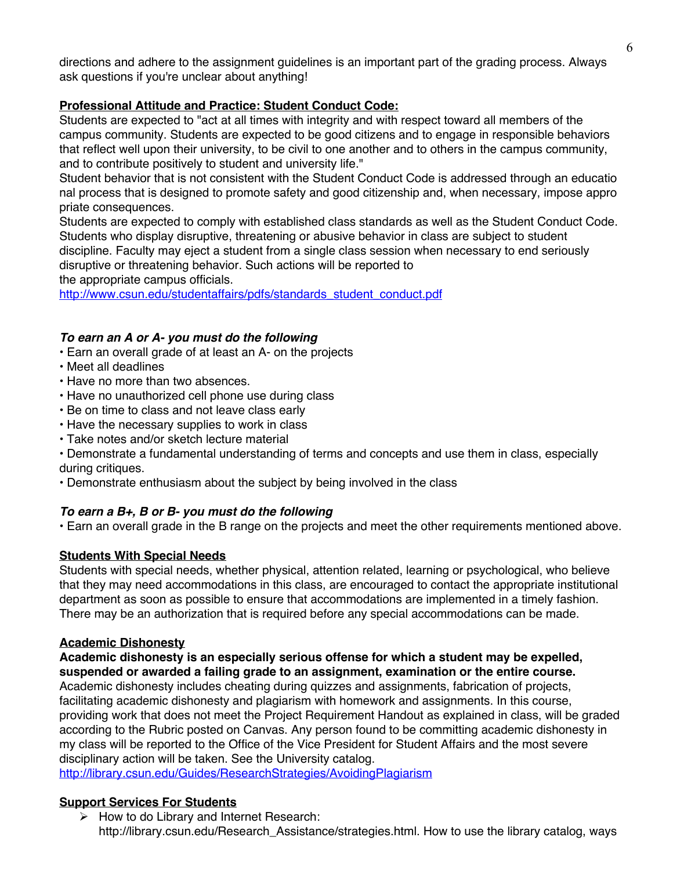directions and adhere to the assignment guidelines is an important part of the grading process. Always ask questions if you're unclear about anything!

# **Professional Attitude and Practice: Student Conduct Code:**

Students are expected to "act at all times with integrity and with respect toward all members of the campus community. Students are expected to be good citizens and to engage in responsible behaviors that reflect well upon their university, to be civil to one another and to others in the campus community, and to contribute positively to student and university life."

Student behavior that is not consistent with the Student Conduct Code is addressed through an educatio nal process that is designed to promote safety and good citizenship and, when necessary, impose appro priate consequences.

Students are expected to comply with established class standards as well as the Student Conduct Code. Students who display disruptive, threatening or abusive behavior in class are subject to student discipline. Faculty may eject a student from a single class session when necessary to end seriously disruptive or threatening behavior. Such actions will be reported to the appropriate campus officials.

http://www.csun.edu/studentaffairs/pdfs/standards\_student\_conduct.pdf

# *To earn an A or A- you must do the following*

- Earn an overall grade of at least an A- on the projects
- Meet all deadlines
- Have no more than two absences.
- Have no unauthorized cell phone use during class
- Be on time to class and not leave class early
- Have the necessary supplies to work in class
- Take notes and/or sketch lecture material
- Demonstrate a fundamental understanding of terms and concepts and use them in class, especially during critiques.
- Demonstrate enthusiasm about the subject by being involved in the class

# *To earn a B+, B or B- you must do the following*

• Earn an overall grade in the B range on the projects and meet the other requirements mentioned above.

# **Students With Special Needs**

Students with special needs, whether physical, attention related, learning or psychological, who believe that they may need accommodations in this class, are encouraged to contact the appropriate institutional department as soon as possible to ensure that accommodations are implemented in a timely fashion. There may be an authorization that is required before any special accommodations can be made.

### **Academic Dishonesty**

**Academic dishonesty is an especially serious offense for which a student may be expelled, suspended or awarded a failing grade to an assignment, examination or the entire course.** 

Academic dishonesty includes cheating during quizzes and assignments, fabrication of projects, facilitating academic dishonesty and plagiarism with homework and assignments. In this course, providing work that does not meet the Project Requirement Handout as explained in class, will be graded according to the Rubric posted on Canvas. Any person found to be committing academic dishonesty in my class will be reported to the Office of the Vice President for Student Affairs and the most severe disciplinary action will be taken. See the University catalog.

http://library.csun.edu/Guides/ResearchStrategies/AvoidingPlagiarism

# **Support Services For Students**

 $\triangleright$  How to do Library and Internet Research: http://library.csun.edu/Research\_Assistance/strategies.html. How to use the library catalog, ways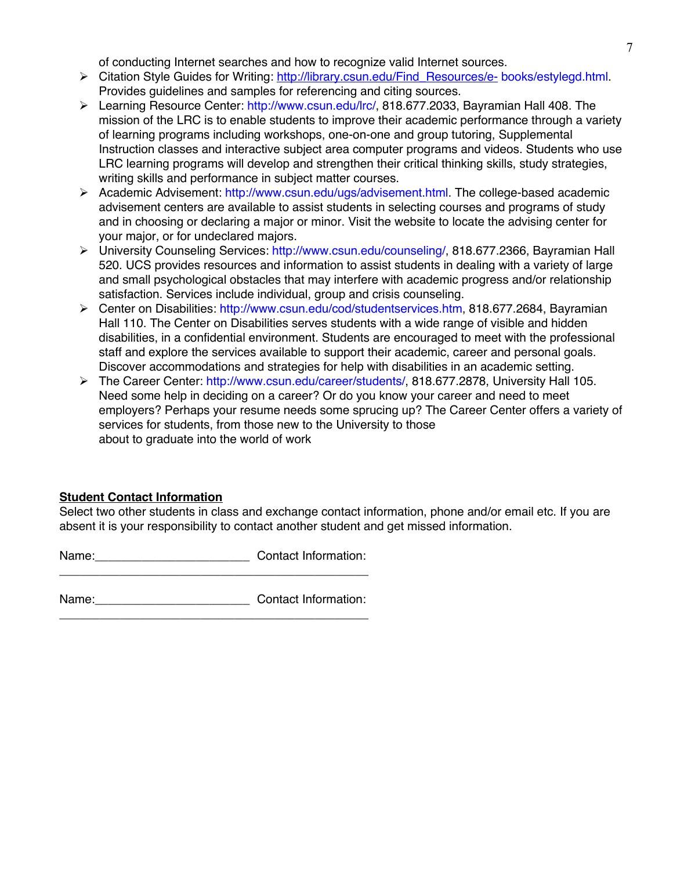of conducting Internet searches and how to recognize valid Internet sources.

- Ø Citation Style Guides for Writing: http://library.csun.edu/Find\_Resources/e- books/estylegd.html. Provides guidelines and samples for referencing and citing sources.
- Ø Learning Resource Center: http://www.csun.edu/lrc/, 818.677.2033, Bayramian Hall 408. The mission of the LRC is to enable students to improve their academic performance through a variety of learning programs including workshops, one-on-one and group tutoring, Supplemental Instruction classes and interactive subject area computer programs and videos. Students who use LRC learning programs will develop and strengthen their critical thinking skills, study strategies, writing skills and performance in subject matter courses.
- Ø Academic Advisement: http://www.csun.edu/ugs/advisement.html. The college-based academic advisement centers are available to assist students in selecting courses and programs of study and in choosing or declaring a major or minor. Visit the website to locate the advising center for your major, or for undeclared majors.
- Ø University Counseling Services: http://www.csun.edu/counseling/, 818.677.2366, Bayramian Hall 520. UCS provides resources and information to assist students in dealing with a variety of large and small psychological obstacles that may interfere with academic progress and/or relationship satisfaction. Services include individual, group and crisis counseling.
- Ø Center on Disabilities: http://www.csun.edu/cod/studentservices.htm, 818.677.2684, Bayramian Hall 110. The Center on Disabilities serves students with a wide range of visible and hidden disabilities, in a confidential environment. Students are encouraged to meet with the professional staff and explore the services available to support their academic, career and personal goals. Discover accommodations and strategies for help with disabilities in an academic setting.
- Ø The Career Center: http://www.csun.edu/career/students/, 818.677.2878, University Hall 105. Need some help in deciding on a career? Or do you know your career and need to meet employers? Perhaps your resume needs some sprucing up? The Career Center offers a variety of services for students, from those new to the University to those about to graduate into the world of work

# **Student Contact Information**

Select two other students in class and exchange contact information, phone and/or email etc. If you are absent it is your responsibility to contact another student and get missed information.

Name: Name: Name: Name: Name: 2001 2012 2014 \_\_\_\_\_\_\_\_\_\_\_\_\_\_\_\_\_\_\_\_\_\_\_\_\_\_\_\_\_\_\_\_\_\_\_\_\_\_\_\_\_\_\_\_\_\_

Name: Contact Information: \_\_\_\_\_\_\_\_\_\_\_\_\_\_\_\_\_\_\_\_\_\_\_\_\_\_\_\_\_\_\_\_\_\_\_\_\_\_\_\_\_\_\_\_\_\_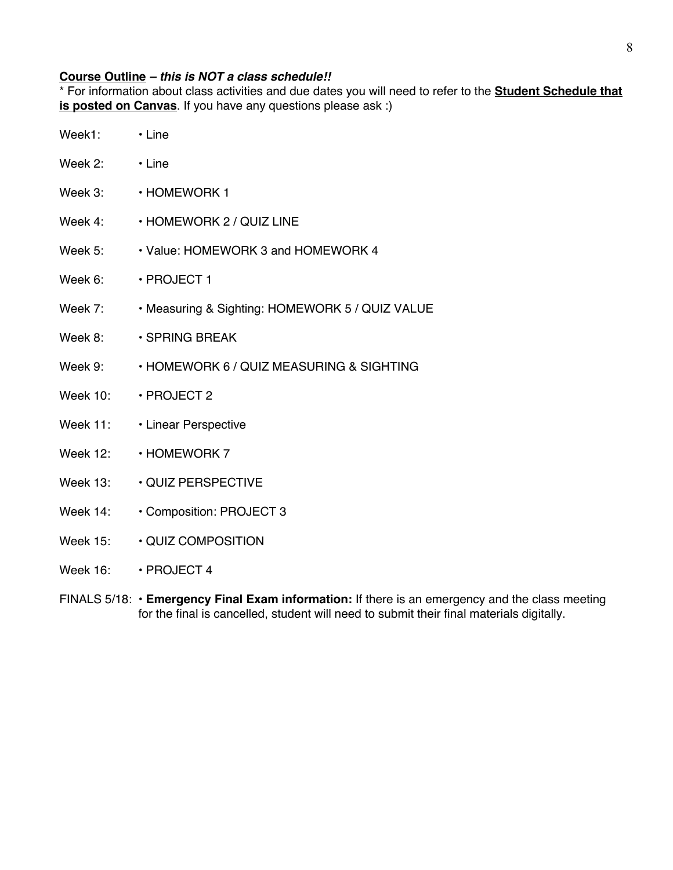# **Course Outline** *– this is NOT a class schedule!!*

\* For information about class activities and due dates you will need to refer to the **Student Schedule that is posted on Canvas**. If you have any questions please ask :)

| Week1:   | $\cdot$ Line                                    |
|----------|-------------------------------------------------|
| Week 2:  | $\cdot$ Line                                    |
|          | Week 3: $\longrightarrow$ HOMEWORK 1            |
| Week 4:  | • HOMEWORK 2 / QUIZ LINE                        |
| Week 5:  | • Value: HOMEWORK 3 and HOMEWORK 4              |
| Week 6:  | $\cdot$ PROJECT 1                               |
| Week 7:  | . Measuring & Sighting: HOMEWORK 5 / QUIZ VALUE |
| Week 8:  | <b>⋅SPRING BREAK</b>                            |
| Week 9:  | • HOMEWORK 6 / QUIZ MEASURING & SIGHTING        |
|          | Week 10: • PROJECT 2                            |
|          | Week 11: · Linear Perspective                   |
|          | Week 12: • HOMEWORK 7                           |
| Week 13: | <b>⋅ QUIZ PERSPECTIVE</b>                       |
|          | Week $14: \cdot$ Composition: PROJECT 3         |
|          | Week 15: $\qquad \cdot$ QUIZ COMPOSITION        |
|          |                                                 |

Week 16: • PROJECT 4

FINALS 5/18: • **Emergency Final Exam information:** If there is an emergency and the class meeting for the final is cancelled, student will need to submit their final materials digitally.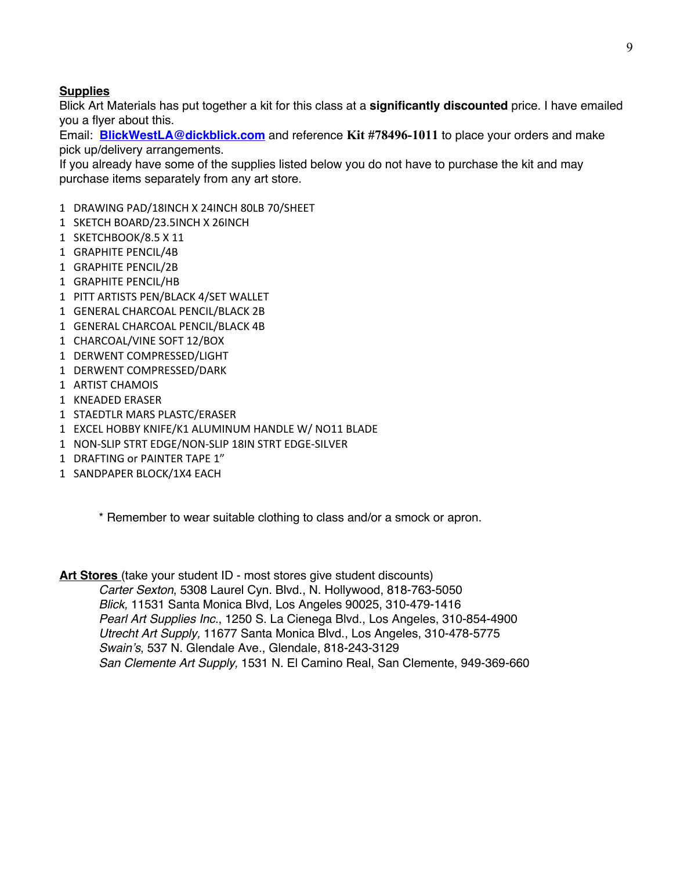## **Supplies**

Blick Art Materials has put together a kit for this class at a **significantly discounted** price. I have emailed you a flyer about this.

Email: **BlickWestLA@dickblick.com** and reference **Kit #78496-1011** to place your orders and make pick up/delivery arrangements.

If you already have some of the supplies listed below you do not have to purchase the kit and may purchase items separately from any art store.

- 1 DRAWING PAD/18INCH X 24INCH 80LB 70/SHEET
- 1 SKETCH BOARD/23.5INCH X 26INCH
- 1 SKETCHBOOK/8.5 X 11
- 1 GRAPHITE PENCIL/4B
- 1 GRAPHITE PENCIL/2B
- 1 GRAPHITE PENCIL/HB
- 1 PITT ARTISTS PEN/BLACK 4/SET WALLET
- 1 GENERAL CHARCOAL PENCIL/BLACK 2B
- 1 GENERAL CHARCOAL PENCIL/BLACK 4B
- 1 CHARCOAL/VINE SOFT 12/BOX
- 1 DERWENT COMPRESSED/LIGHT
- 1 DERWENT COMPRESSED/DARK
- 1 ARTIST CHAMOIS
- 1 KNEADED ERASER
- 1 STAEDTLR MARS PLASTC/ERASER
- 1 EXCEL HOBBY KNIFE/K1 ALUMINUM HANDLE W/ NO11 BLADE
- 1 NON-SLIP STRT EDGE/NON-SLIP 18IN STRT EDGE-SILVER
- 1 DRAFTING or PAINTER TAPE 1"
- 1 SANDPAPER BLOCK/1X4 EACH

\* Remember to wear suitable clothing to class and/or a smock or apron.

**Art Stores** (take your student ID - most stores give student discounts) *Carter Sexton*, 5308 Laurel Cyn. Blvd., N. Hollywood, 818-763-5050 *Blick,* 11531 Santa Monica Blvd, Los Angeles 90025, 310-479-1416 *Pearl Art Supplies Inc.*, 1250 S. La Cienega Blvd., Los Angeles, 310-854-4900 *Utrecht Art Supply,* 11677 Santa Monica Blvd., Los Angeles, 310-478-5775 *Swain's*, 537 N. Glendale Ave., Glendale, 818-243-3129 *San Clemente Art Supply,* 1531 N. El Camino Real, San Clemente, 949-369-660